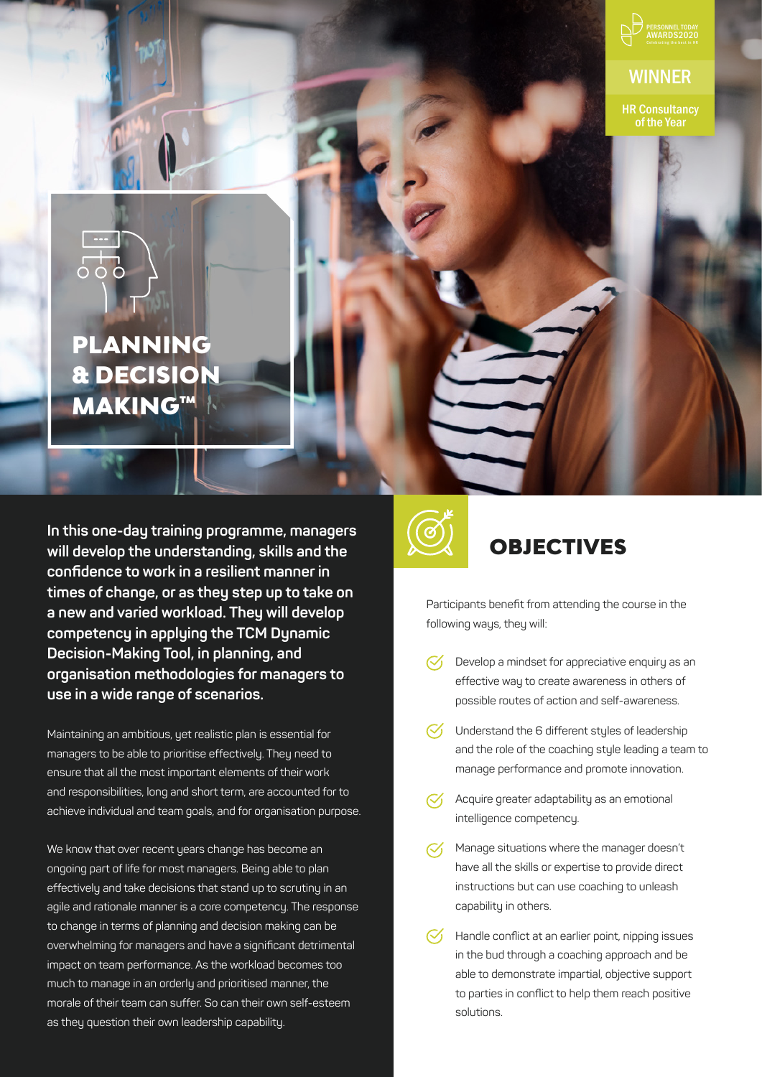

**WINNER** 

HR Consultancy of the Year



# PLANNING & DECISION MAKING™

OBJECTIVES **In this one-day training programme, managers will develop the understanding, skills and the confidence to work in a resilient manner in times of change, or as they step up to take on a new and varied workload. They will develop competency in applying the TCM Dynamic Decision-Making Tool, in planning, and organisation methodologies for managers to use in a wide range of scenarios.** 

Maintaining an ambitious, yet realistic plan is essential for managers to be able to prioritise effectively. They need to ensure that all the most important elements of their work and responsibilities, long and short term, are accounted for to achieve individual and team goals, and for organisation purpose.

We know that over recent years change has become an ongoing part of life for most managers. Being able to plan effectively and take decisions that stand up to scrutiny in an agile and rationale manner is a core competency. The response to change in terms of planning and decision making can be overwhelming for managers and have a significant detrimental impact on team performance. As the workload becomes too much to manage in an orderly and prioritised manner, the morale of their team can suffer. So can their own self-esteem as they question their own leadership capability.



Participants benefit from attending the course in the following ways, they will:

- $\mathcal{C}'$ Develop a mindset for appreciative enquiry as an effective way to create awareness in others of possible routes of action and self-awareness.
- $\heartsuit$  Understand the 6 different styles of leadership and the role of the coaching style leading a team to manage performance and promote innovation.
- Acquire greater adaptability as an emotional  $\mathbb{C}$ intelligence competency.
- Manage situations where the manager doesn't  $\mathcal{C}'$ have all the skills or expertise to provide direct instructions but can use coaching to unleash capability in others.
- $\mathcal{C}'$ Handle conflict at an earlier point, nipping issues in the bud through a coaching approach and be able to demonstrate impartial, objective support to parties in conflict to help them reach positive solutions.